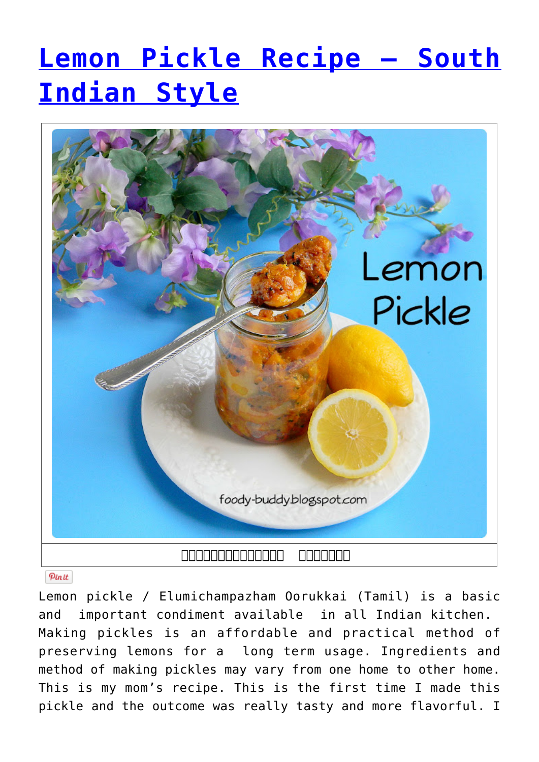# **[Lemon Pickle Recipe – South](http://foodybuddy.net/2013/07/20/lemon-pickle-recipe-south-indian-style.html) [Indian Style](http://foodybuddy.net/2013/07/20/lemon-pickle-recipe-south-indian-style.html)**



#### Pinit

Lemon pickle / Elumichampazham Oorukkai (Tamil) is a basic and important condiment available in all Indian kitchen. Making pickles is an affordable and practical method of preserving lemons for a long term usage. Ingredients and method of making pickles may vary from one home to other home. This is my mom's recipe. This is the first time I made this pickle and the outcome was really tasty and more flavorful. I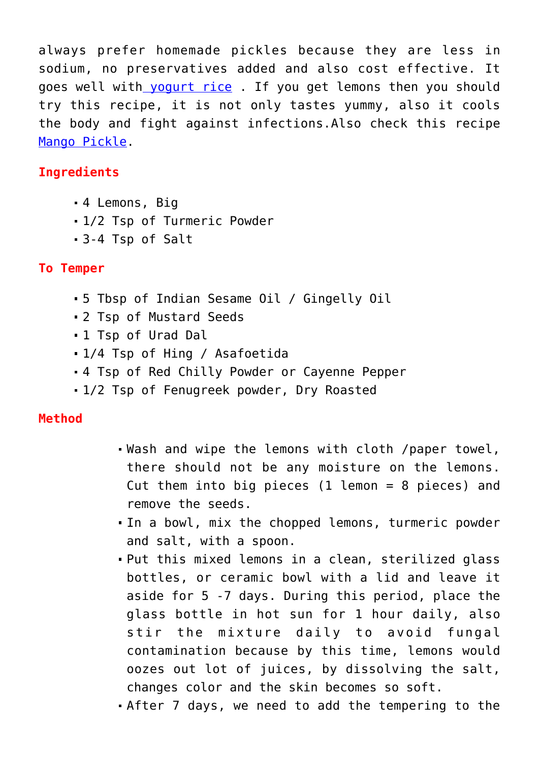always prefer homemade pickles because they are less in sodium, no preservatives added and also cost effective. It goes well with [yogurt rice](http://foody-buddy.blogspot.com/2013/02/special-curdyogurt-rice-or-thayir-sadam.html) . If you get lemons then you should try this recipe, it is not only tastes yummy, also it cools the body and fight against infections.Also check this recipe [Mango Pickle](http://foody-buddy.blogspot.com/2013/05/mango-pickle-recipe-manga-oorugai.html).

## **Ingredients**

- 4 Lemons, Big
- 1/2 Tsp of Turmeric Powder
- 3-4 Tsp of Salt

### **To Temper**

- 5 Tbsp of Indian Sesame Oil / Gingelly Oil
- 2 Tsp of Mustard Seeds
- 1 Tsp of Urad Dal
- 1/4 Tsp of Hing / Asafoetida
- 4 Tsp of Red Chilly Powder or Cayenne Pepper
- 1/2 Tsp of Fenugreek powder, Dry Roasted

#### **Method**

- Wash and wipe the lemons with cloth /paper towel, there should not be any moisture on the lemons. Cut them into big pieces (1 lemon = 8 pieces) and remove the seeds.
- In a bowl, mix the chopped lemons, turmeric powder and salt, with a spoon.
- Put this mixed lemons in a clean, sterilized glass bottles, or ceramic bowl with a lid and leave it aside for 5 -7 days. During this period, place the glass bottle in hot sun for 1 hour daily, also stir the mixture daily to avoid fungal contamination because by this time, lemons would oozes out lot of juices, by dissolving the salt, changes color and the skin becomes so soft.
- After 7 days, we need to add the tempering to the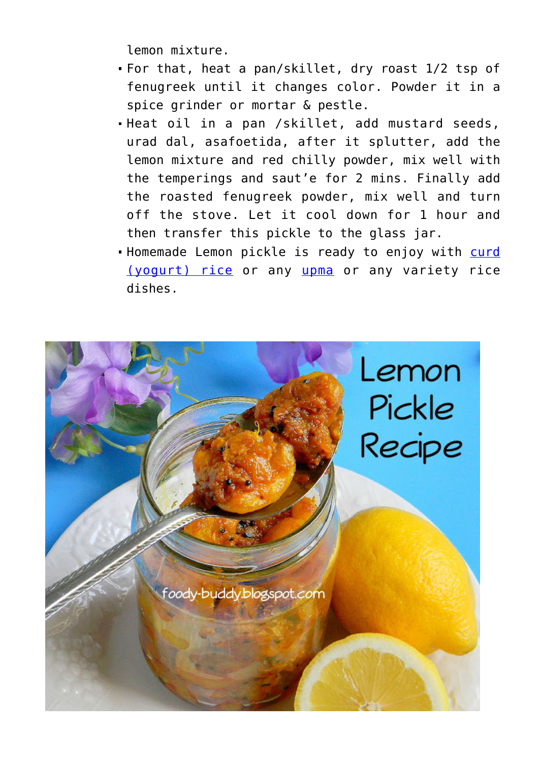lemon mixture.

- For that, heat a pan/skillet, dry roast 1/2 tsp of fenugreek until it changes color. Powder it in a spice grinder or mortar & pestle.
- Heat oil in a pan /skillet, add mustard seeds, urad dal, asafoetida, after it splutter, add the lemon mixture and red chilly powder, mix well with the temperings and saut'e for 2 mins. Finally add the roasted fenugreek powder, mix well and turn off the stove. Let it cool down for 1 hour and then transfer this pickle to the glass jar.
- . Homemade Lemon pickle is ready to enjoy with [curd](http://foody-buddy.blogspot.com/2013/02/special-curdyogurt-rice-or-thayir-sadam.html) [\(yogurt\) rice](http://foody-buddy.blogspot.com/2013/02/special-curdyogurt-rice-or-thayir-sadam.html) or any [upma](http://foody-buddy.blogspot.com/2012/09/vermicilli-semiya-biryani-semiyaa.html) or any variety rice dishes.

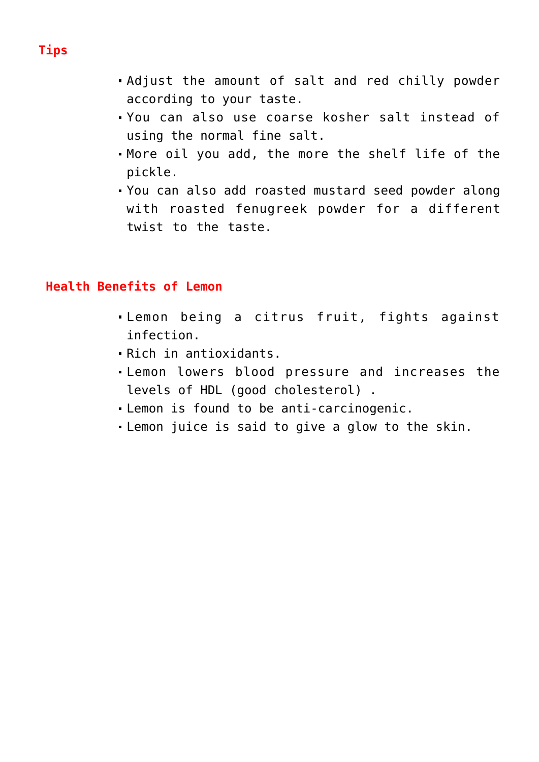- Adjust the amount of salt and red chilly powder according to your taste.
- You can also use coarse kosher salt instead of using the normal fine salt.
- More oil you add, the more the shelf life of the pickle.
- You can also add roasted mustard seed powder along with roasted fenugreek powder for a different twist to the taste.

#### **Health Benefits of Lemon**

- Lemon being a citrus fruit, fights against infection.
- Rich in antioxidants.
- Lemon lowers blood pressure and increases the levels of HDL (good cholesterol) .
- Lemon is found to be anti-carcinogenic.
- Lemon juice is said to give a glow to the skin.